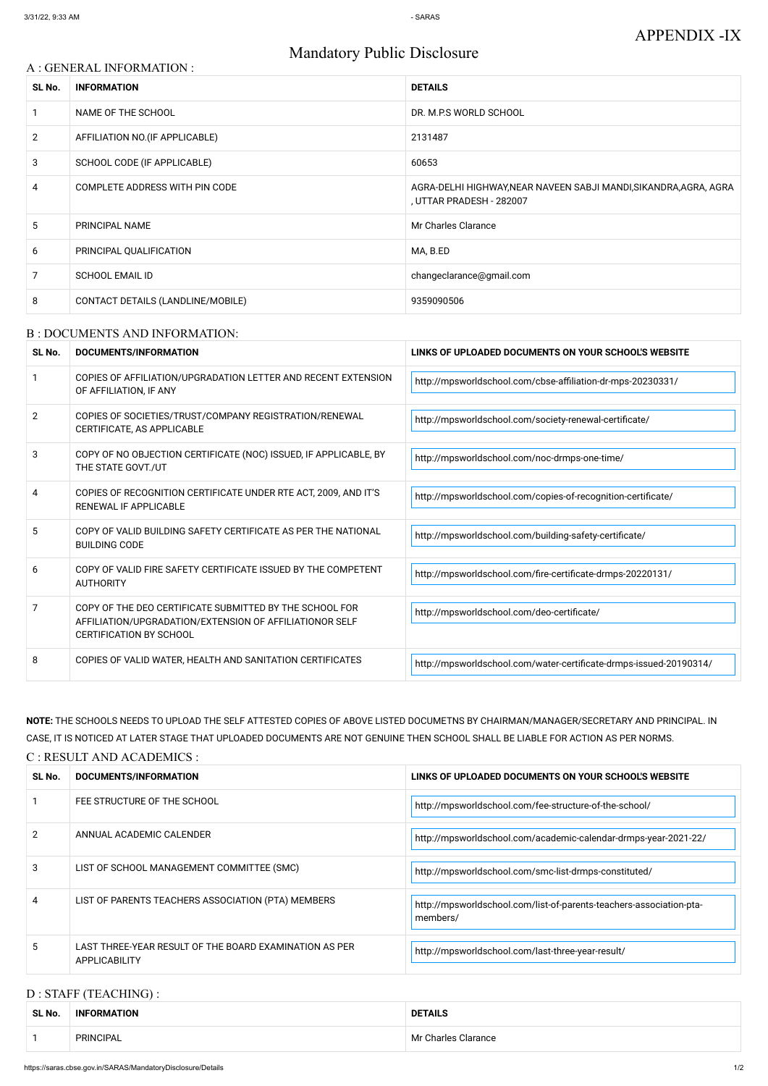# Mandatory Public Disclosure

### A : GENERAL INFORMATION :

| SL No.         | <b>INFORMATION</b>                | <b>DETAILS</b>                                                                                |
|----------------|-----------------------------------|-----------------------------------------------------------------------------------------------|
|                | NAME OF THE SCHOOL                | DR. M.P.S WORLD SCHOOL                                                                        |
| $\overline{2}$ | AFFILIATION NO. (IF APPLICABLE)   | 2131487                                                                                       |
| 3              | SCHOOL CODE (IF APPLICABLE)       | 60653                                                                                         |
| 4              | COMPLETE ADDRESS WITH PIN CODE    | AGRA-DELHI HIGHWAY, NEAR NAVEEN SABJI MANDI, SIKANDRA, AGRA, AGRA<br>, UTTAR PRADESH - 282007 |
| 5.             | PRINCIPAL NAME                    | Mr Charles Clarance                                                                           |
| 6              | PRINCIPAL QUALIFICATION           | MA, B.ED                                                                                      |
| $\overline{7}$ | <b>SCHOOL EMAIL ID</b>            | changeclarance@gmail.com                                                                      |
| 8              | CONTACT DETAILS (LANDLINE/MOBILE) | 9359090506                                                                                    |

#### B : DOCUMENTS AND INFORMATION:

| SL No.         | DOCUMENTS/INFORMATION                                                                                                                                | LINKS OF UPLOADED DOCUMENTS ON YOUR SCHOOL'S WEBSITE               |
|----------------|------------------------------------------------------------------------------------------------------------------------------------------------------|--------------------------------------------------------------------|
|                | COPIES OF AFFILIATION/UPGRADATION LETTER AND RECENT EXTENSION<br>OF AFFILIATION, IF ANY                                                              | http://mpsworldschool.com/cbse-affiliation-dr-mps-20230331/        |
| $\overline{2}$ | COPIES OF SOCIETIES/TRUST/COMPANY REGISTRATION/RENEWAL<br>CERTIFICATE, AS APPLICABLE                                                                 | http://mpsworldschool.com/society-renewal-certificate/             |
| 3              | COPY OF NO OBJECTION CERTIFICATE (NOC) ISSUED, IF APPLICABLE, BY<br>THE STATE GOVT./UT                                                               | http://mpsworldschool.com/noc-drmps-one-time/                      |
| 4              | COPIES OF RECOGNITION CERTIFICATE UNDER RTE ACT, 2009, AND IT'S<br><b>RENEWAL IF APPLICABLE</b>                                                      | http://mpsworldschool.com/copies-of-recognition-certificate/       |
| 5              | COPY OF VALID BUILDING SAFETY CERTIFICATE AS PER THE NATIONAL<br><b>BUILDING CODE</b>                                                                | http://mpsworldschool.com/building-safety-certificate/             |
| 6              | COPY OF VALID FIRE SAFETY CERTIFICATE ISSUED BY THE COMPETENT<br><b>AUTHORITY</b>                                                                    | http://mpsworldschool.com/fire-certificate-drmps-20220131/         |
| 7              | COPY OF THE DEO CERTIFICATE SUBMITTED BY THE SCHOOL FOR<br>AFFILIATION/UPGRADATION/EXTENSION OF AFFILIATIONOR SELF<br><b>CERTIFICATION BY SCHOOL</b> | http://mpsworldschool.com/deo-certificate/                         |
| 8              | COPIES OF VALID WATER, HEALTH AND SANITATION CERTIFICATES                                                                                            | http://mpsworldschool.com/water-certificate-drmps-issued-20190314/ |

| 2              | ANNUAL ACADEMIC CALENDER                                                | http://mpsworldschool.com/academic-calendar-drmps-year-2021-22/                 |
|----------------|-------------------------------------------------------------------------|---------------------------------------------------------------------------------|
| 3              | LIST OF SCHOOL MANAGEMENT COMMITTEE (SMC)                               | http://mpsworldschool.com/smc-list-drmps-constituted/                           |
| $\overline{4}$ | LIST OF PARENTS TEACHERS ASSOCIATION (PTA) MEMBERS                      | http://mpsworldschool.com/list-of-parents-teachers-association-pta-<br>members/ |
| 5.             | LAST THREE-YEAR RESULT OF THE BOARD EXAMINATION AS PER<br>APPLICABILITY | http://mpsworldschool.com/last-three-year-result/                               |

**NOTE:** THE SCHOOLS NEEDS TO UPLOAD THE SELF ATTESTED COPIES OF ABOVE LISTED DOCUMETNS BY CHAIRMAN/MANAGER/SECRETARY AND PRINCIPAL. IN CASE, IT IS NOTICED AT LATER STAGE THAT UPLOADED DOCUMENTS ARE NOT GENUINE THEN SCHOOL SHALL BE LIABLE FOR ACTION AS PER NORMS. C : RESULT AND ACADEMICS :

| SL No. | <b>DOCUMENTS/INFORMATION</b> | LINKS OF UPLOADED DOCUMENTS ON YOUR SCHOOL'S WEBSITE   |  |
|--------|------------------------------|--------------------------------------------------------|--|
|        | FEE STRUCTURE OF THE SCHOOL  | http://mpsworldschool.com/fee-structure-of-the-school/ |  |

# D : STAFF (TEACHING) :

| SL No. | <b>INFORMATION</b> | <b>DETAILS</b>      |
|--------|--------------------|---------------------|
|        | <b>PRINCIPAL</b>   | Mr Charles Clarance |